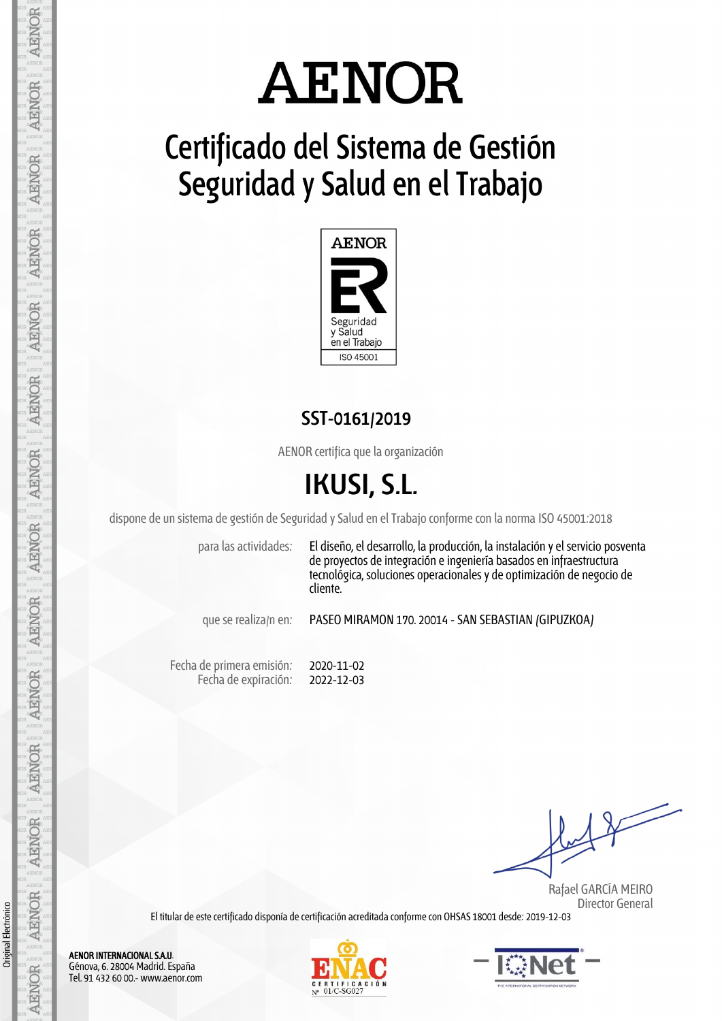# **AENOR**

## **Certificado del Sistema de Gestión Seguridad y Salud en el Trabajo**



### **SST-0161/2019**

AENOR certifica que la organización

## **IKUSI, S.L.**

dispone de un sistema de gestión de Seguridad y Salud en el Trabajo conforme con la norma ISO 45001:2018

para las actividades: El diseño, el desarrollo, la producción, la instalación y el servicio posventa de proyectos de integración e ingeniería basados en infraestructura tecnológica, soluciones operacionales y de optimización de negocio de cliente.

que se realiza/n en: PASEO MIRAMON 170. 20014 - SAN SEBASTIAN (GIPUZKOA)

Fecha de primera emisión: Fecha de expiración: 2020-11-02 2022-12-03

Rafael GARCÍA MEIRO Director General

El titular de este certificado disponía de certificación acreditada conforme con OHSAS 18001 desde: 2019-12-03

**AENOR** AENOR INTERNACIONAL S.A.U. Génova, 6. 28004 Madrid. España **AENOR** Tel. 91 432 60 00.- www.aenor.com

**AENOR** 

**AENOR** 

**AENOR** 

**AENOR** 

**AENOR** 

**AENOR** 

**ARNOR** 

**AENOR** 

**AENOR** 

**AENOR** 

**AENOR** 

**AENOR** 

Original Electrónico